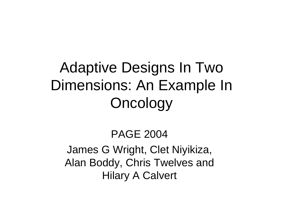# Adaptive Designs In Two Dimensions: An Example In **Oncology**

#### PAGE 2004

#### James G Wright, Clet Niyikiza, Alan Boddy, Chris Twelves and Hilary A Calvert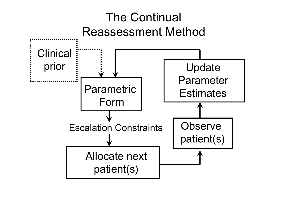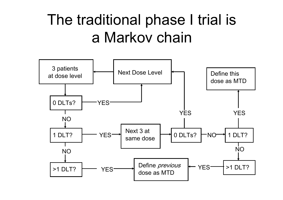### The traditional phase I trial is a Markov chain

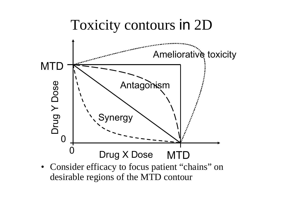### Toxicity contours in 2D



• Consider efficacy to focus patient "chains" on desirable regions of the MTD contour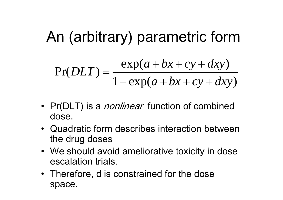# An (arbitrary) parametric form

$$
Pr(DLT) = \frac{\exp(a + bx + cy + dxy)}{1 + \exp(a + bx + cy + dxy)}
$$

- Pr(DLT) is a *nonlinear* function of combined dose.
- •Quadratic form describes interaction between the drug doses
- We should avoid ameliorative toxicity in dose escalation trials.
- Therefore, d is constrained for the dose space.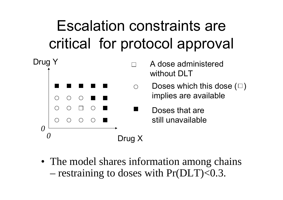# Escalation constraints are critical for protocol approval



• The model shares information among chains – restraining to doses with Pr(DLT)<0.3.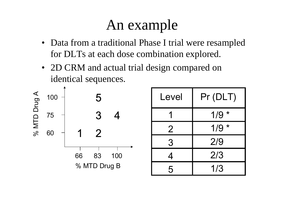### An example

- Data from a traditional Phase I trial were resampled for DLTs at each dose combination explored.
- 2D CRM and actual trial design compared on identical sequences.



| Level          | Pr (DLT) |
|----------------|----------|
|                | $1/9 *$  |
| $\overline{2}$ | $1/9 *$  |
| 3              | 2/9      |
| 4              | 2/3      |
| 5              | 1/3      |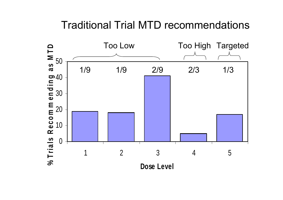#### Traditional Trial MTD recommendations

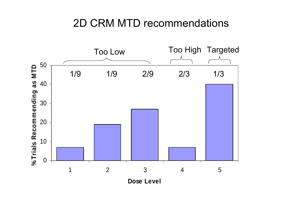#### 2D CRM MTD recommendations



**Do se L e v el**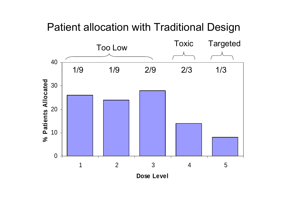#### Patient allocation with Traditional Design

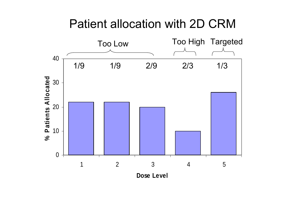### Patient allocation with 2D CRM

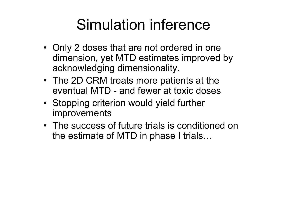### Simulation inference

- Only 2 doses that are not ordered in one dimension, yet MTD estimates improved by acknowledging dimensionality.
- The 2D CRM treats more patients at the eventual MTD - and fewer at toxic doses
- Stopping criterion would yield further improvements
- •The success of future trials is conditioned on the estimate of MTD in phase I trials…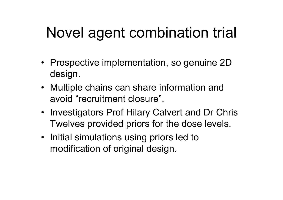# Novel agent combination trial

- Prospective implementation, so genuine 2D design.
- Multiple chains can share information and avoid "recruitment closure".
- Investigators Prof Hilary Calvert and Dr Chris Twelves provided priors for the dose levels.
- Initial simulations using priors led to modification of original design.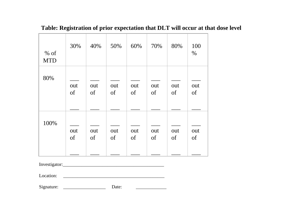| $%$ of<br><b>MTD</b> | 30% | 40% | 50% | 60% | 70% | 80% | 100<br>$\frac{0}{0}$ |
|----------------------|-----|-----|-----|-----|-----|-----|----------------------|
| 80%                  | out | out | out | out | out | out | out                  |
|                      | of  | of  | of  | of  | of  | of  | of                   |
|                      |     |     |     |     |     |     |                      |
| 100%                 | out | out | out | out | out | out | out                  |
|                      | of  | of  | of  | of  | of  | of  | of                   |

#### **Table: Registration of prior expectation that DLT will occur at that dose level**

Investigator:\_\_\_\_\_\_\_\_\_\_\_\_\_\_\_\_\_\_\_\_\_\_\_\_\_\_\_\_\_\_\_\_\_\_\_\_\_\_\_\_\_\_\_

Location:

Signature: \_\_\_\_\_\_\_\_\_\_\_\_\_\_\_\_\_\_

Date:

 $\overline{\phantom{a}}$  , where the contract of the contract of the contract of the contract of the contract of the contract of the contract of the contract of the contract of the contract of the contract of the contract of the contr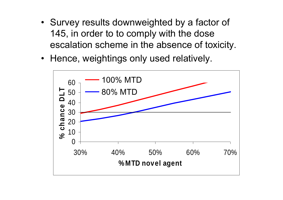- Survey results downweighted by a factor of 145, in order to to comply with the dose escalation scheme in the absence of toxicity.
- Hence, weightings only used relatively.

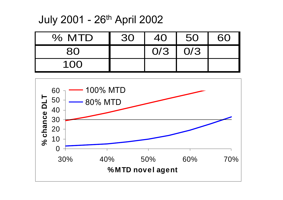July 2001 - 26th April 2002

| % MTD | 30 | 40 | 50            |  |
|-------|----|----|---------------|--|
|       |    |    | $0/3$   $0/3$ |  |
| 100   |    |    |               |  |

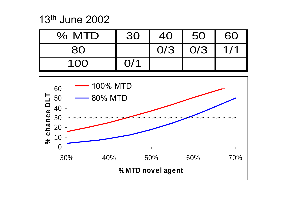13th June 2002

| % MTD | 30  | 40  | 50  | 60  |
|-------|-----|-----|-----|-----|
|       |     | O/3 | O/3 | 1/1 |
| 100   | O/1 |     |     |     |

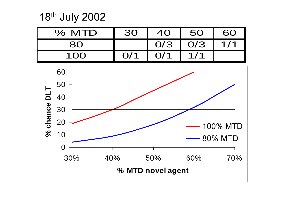18th July 2002



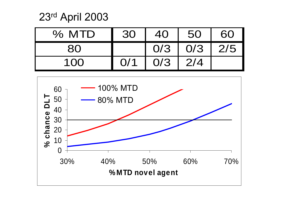23rd April 2003

| % MTD | 30  | 40   | 50  | 60  |
|-------|-----|------|-----|-----|
|       |     | .0/3 | O/3 | 2/5 |
| 100   | 0/1 | O/3  | 2/4 |     |